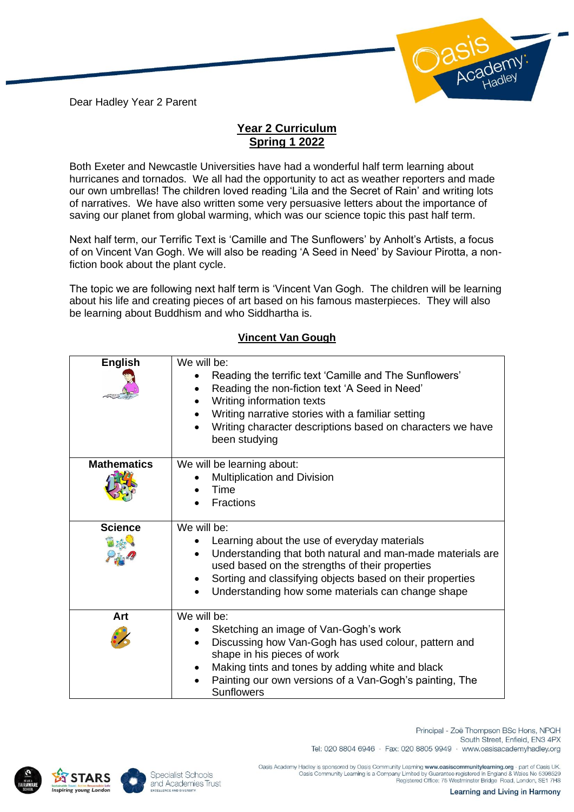Dear Hadley Year 2 Parent



## **Year 2 Curriculum Spring 1 2022**

Both Exeter and Newcastle Universities have had a wonderful half term learning about hurricanes and tornados. We all had the opportunity to act as weather reporters and made our own umbrellas! The children loved reading 'Lila and the Secret of Rain' and writing lots of narratives. We have also written some very persuasive letters about the importance of saving our planet from global warming, which was our science topic this past half term.

Next half term, our Terrific Text is 'Camille and The Sunflowers' by Anholt's Artists, a focus of on Vincent Van Gogh. We will also be reading 'A Seed in Need' by Saviour Pirotta, a nonfiction book about the plant cycle.

The topic we are following next half term is 'Vincent Van Gogh. The children will be learning about his life and creating pieces of art based on his famous masterpieces. They will also be learning about Buddhism and who Siddhartha is.

## **Vincent Van Gough**

| <b>English</b>     | We will be:<br>Reading the terrific text 'Camille and The Sunflowers'<br>Reading the non-fiction text 'A Seed in Need'<br>Writing information texts<br>Writing narrative stories with a familiar setting<br>Writing character descriptions based on characters we have<br>been studying        |
|--------------------|------------------------------------------------------------------------------------------------------------------------------------------------------------------------------------------------------------------------------------------------------------------------------------------------|
| <b>Mathematics</b> | We will be learning about:<br>Multiplication and Division<br>Time<br><b>Fractions</b>                                                                                                                                                                                                          |
| <b>Science</b>     | We will be:<br>Learning about the use of everyday materials<br>Understanding that both natural and man-made materials are<br>used based on the strengths of their properties<br>Sorting and classifying objects based on their properties<br>Understanding how some materials can change shape |
| Art                | We will be:<br>Sketching an image of Van-Gogh's work<br>Discussing how Van-Gogh has used colour, pattern and<br>shape in his pieces of work<br>Making tints and tones by adding white and black<br>Painting our own versions of a Van-Gogh's painting, The<br><b>Sunflowers</b>                |





South Street, Enfield, EN3 4PX Tel: 020 8804 6946 · Fax: 020 8805 9949 · www.oasisacademyhadley.org

Principal - Zoë Thompson BSc Hons, NPQH